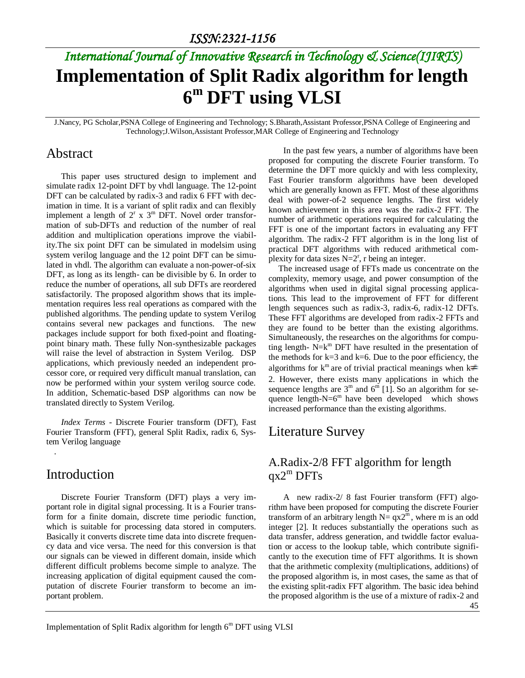# *International Journal of Innovative Research in Technology & Science(IJIRTS)* **Implementation of Split Radix algorithm for length 6 <sup>m</sup> DFT using VLSI**

J.Nancy, PG Scholar,PSNA College of Engineering and Technology; S.Bharath,Assistant Professor,PSNA College of Engineering and Technology;J.Wilson,Assistant Professor,MAR College of Engineering and Technology

#### Abstract

This paper uses structured design to implement and simulate radix 12-point DFT by vhdl language. The 12-point DFT can be calculated by radix-3 and radix 6 FFT with decimation in time. It is a variant of split radix and can flexibly implement a length of  $2^r$  x  $3^m$  DFT. Novel order transformation of sub-DFTs and reduction of the number of real addition and multiplication operations improve the viability.The six point DFT can be simulated in modelsim using system verilog language and the 12 point DFT can be simulated in vhdl. The algorithm can evaluate a non-power-of-six DFT, as long as its length- can be divisible by 6. In order to reduce the number of operations, all sub DFTs are reordered satisfactorily. The proposed algorithm shows that its implementation requires less real operations as compared with the published algorithms. The pending update to system Verilog contains several new packages and functions. The new packages include support for both fixed-point and floatingpoint binary math. These fully Non-synthesizable packages will raise the level of abstraction in System Verilog. DSP applications, which previously needed an independent processor core, or required very difficult manual translation, can now be performed within your system verilog source code. In addition, Schematic-based DSP algorithms can now be translated directly to System Verilog.

*Index Terms -* Discrete Fourier transform (DFT), Fast Fourier Transform (FFT), general Split Radix, radix 6, System Verilog language

#### Introduction

.

Discrete Fourier Transform (DFT) plays a very important role in digital signal processing. It is a Fourier transform for a finite domain, discrete time periodic function, which is suitable for processing data stored in computers. Basically it converts discrete time data into discrete frequency data and vice versa. The need for this conversion is that our signals can be viewed in different domain, inside which different difficult problems become simple to analyze. The increasing application of digital equipment caused the computation of discrete Fourier transform to become an important problem.

In the past few years, a number of algorithms have been proposed for computing the discrete Fourier transform. To determine the DFT more quickly and with less complexity, Fast Fourier transform algorithms have been developed which are generally known as FFT. Most of these algorithms deal with power-of-2 sequence lengths. The first widely known achievement in this area was the radix-2 FFT. The number of arithmetic operations required for calculating the FFT is one of the important factors in evaluating any FFT algorithm. The radix-2 FFT algorithm is in the long list of practical DFT algorithms with reduced arithmetical complexity for data sizes  $N=2^r$ , r being an integer.

The increased usage of FFTs made us concentrate on the complexity, memory usage, and power consumption of the algorithms when used in digital signal processing applications. This lead to the improvement of FFT for different length sequences such as radix-3, radix-6, radix-12 DFTs. These FFT algorithms are developed from radix-2 FFTs and they are found to be better than the existing algorithms. Simultaneously, the researches on the algorithms for computing length-  $N=k<sup>m</sup>$  DFT have resulted in the presentation of the methods for  $k=3$  and  $k=6$ . Due to the poor efficiency, the algorithms for  $k^m$  are of trivial practical meanings when  $k \neq$ 2. However, there exists many applications in which the sequence lengths are  $3^{\text{m}}$  and  $6^{\text{m}}$  [1]. So an algorithm for sequence length- $N=6<sup>m</sup>$  have been developed which shows increased performance than the existing algorithms.

### Literature Survey

#### A.Radix-2/8 FFT algorithm for length  $qx2^m$  DFTs

A new radix-2/ 8 fast Fourier transform (FFT) algorithm have been proposed for computing the discrete Fourier transform of an arbitrary length  $N = qx2^m$ , where m is an odd integer [2]. It reduces substantially the operations such as data transfer, address generation, and twiddle factor evaluation or access to the lookup table, which contribute significantly to the execution time of FFT algorithms. It is shown that the arithmetic complexity (multiplications, additions) of the proposed algorithm is, in most cases, the same as that of the existing split-radix FFT algorithm. The basic idea behind the proposed algorithm is the use of a mixture of radix-2 and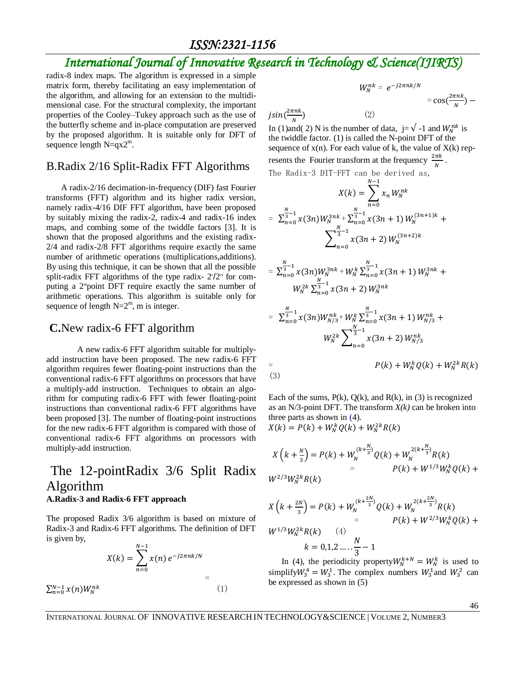#### *ISSN:2321-1156*

## *International Journal of Innovative Research in Technology & Science(IJIRTS)*

radix-8 index maps. The algorithm is expressed in a simple matrix form, thereby facilitating an easy implementation of the algorithm, and allowing for an extension to the multidimensional case. For the structural complexity, the important properties of the Cooley–Tukey approach such as the use of the butterfly scheme and in-place computation are preserved by the proposed algorithm. It is suitable only for DFT of sequence length  $N=qx2^m$ .

#### B.Radix 2/16 Split-Radix FFT Algorithms

A radix-2/16 decimation-in-frequency (DIF) fast Fourier transforms (FFT) algorithm and its higher radix version, namely radix-4/16 DIF FFT algorithm, have been proposed by suitably mixing the radix-2, radix-4 and radix-16 index maps, and combing some of the twiddle factors [3]. It is shown that the proposed algorithms and the existing radix-2/4 and radix-2/8 FFT algorithms require exactly the same number of arithmetic operations (multiplications,additions). By using this technique, it can be shown that all the possible split-radix FFT algorithms of the type radix-  $27/2^{\pi}$  for computing a 2*m*point DFT require exactly the same number of arithmetic operations. This algorithm is suitable only for sequence of length  $N=2^m$ , m is integer.

#### **C.**New radix-6 FFT algorithm

A new radix-6 FFT algorithm suitable for multiplyadd instruction have been proposed. The new radix-6 FFT algorithm requires fewer floating-point instructions than the conventional radix-6 FFT algorithms on processors that have a multiply-add instruction. Techniques to obtain an algorithm for computing radix-6 FFT with fewer floating-point instructions than conventional radix-6 FFT algorithms have been proposed [3]. The number of floating-point instructions for the new radix-6 FFT algorithm is compared with those of conventional radix-6 FFT algorithms on processors with multiply-add instruction.

#### The 12-pointRadix 3/6 Split Radix Algorithm **A.Radix-3 and Radix-6 FFT approach**

The proposed Radix 3/6 algorithm is based on mixture of Radix-3 and Radix-6 FFT algorithms. The definition of DFT is given by,

$$
X(k) = \sum_{n=0}^{N-1} x(n) e^{-j2\pi n k/N} =
$$
  

$$
\sum_{n=0}^{N-1} x(n) W_N^{nk}
$$
 (1)

$$
W_N^{nk} = e^{-j2\pi n k/N} = \cos(\frac{2\pi n k}{N}) - j\sin(\frac{2\pi n k}{N})
$$

In (1)and( 2) N is the number of data,  $j=\sqrt{-1}$  and  $W_N^{nk}$  is the twiddle factor. (1) is called the N-point DFT of the sequence of  $x(n)$ . For each value of k, the value of  $X(k)$  represents the Fourier transform at the frequency  $\frac{2\pi k}{N}$ . The Radix-3 DIT-FFT can be derived as,

$$
X(k) = \sum_{n=0}^{N-1} x_n W_N^{nk}
$$
  
\n
$$
= \sum_{n=0}^{\frac{N}{3}-1} x(3n) W_N^{3nk} + \sum_{n=0}^{\frac{N}{3}-1} x(3n+1) W_N^{(3n+1)k} + \sum_{n=0}^{\frac{N}{3}-1} x(3n+2) W_N^{(3n+2)k}
$$
  
\n
$$
= \sum_{n=0}^{\frac{N}{3}-1} x(3n) W_N^{3nk} + W_N^k \sum_{n=0}^{\frac{N}{3}-1} x(3n+1) W_N^{3nk} + \sum_{n=0}^{\frac{N}{3}-1} x(3n+2) W_N^{3nk}
$$
  
\n
$$
= \sum_{n=0}^{\frac{N}{3}-1} x(3n) W_{N/3}^{nk} + W_N^k \sum_{n=0}^{\frac{N}{3}-1} x(3n+1) W_{N/3}^{nk} + \sum_{n=0}^{\frac{N}{3}-1} x(3n+2) W_{N/3}^{nk}
$$
  
\n
$$
= P(k) + W_N^k Q(k) + W_N^{2k} R(k)
$$

Each of the sums,  $P(k)$ ,  $Q(k)$ , and  $R(k)$ , in (3) is recognized as an N/3-point DFT. The transform  $X(k)$  can be broken into three parts as shown in (4).

$$
X(k) = P(k) + W_N^k Q(k) + W_N^{2k} R(k)
$$

$$
X(k+\frac{N}{3}) = P(k) + W_N^{(k+\frac{N}{3})}Q(k) + W_N^{2(k+\frac{N}{3})}R(k)
$$
  
=  $P(k) + W^{1/3}W_N^{k}Q(k) + W^{2/3}W_N^{k}R(k)$ 

$$
X(k + \frac{2N}{3}) = P(k) + W_N^{(k + \frac{2N}{3})} Q(k) + W_N^{2(k + \frac{2N}{3})} R(k)
$$
  
=  $P(k) + W^{2/3} W_N^k Q(k) +$   
 $k = 0,1,2,..., \frac{N}{3} - 1$   
In (4) the periodicity property:  $W^{k+N} = W^k$  is used to

In (4), the periodicity property  $W_N^{k+N} = W_N^k$  is used to simplify  $W_3^4 = W_3^1$ . The complex numbers  $W_3^1$  and  $W_3^2$  can be expressed as shown in (5)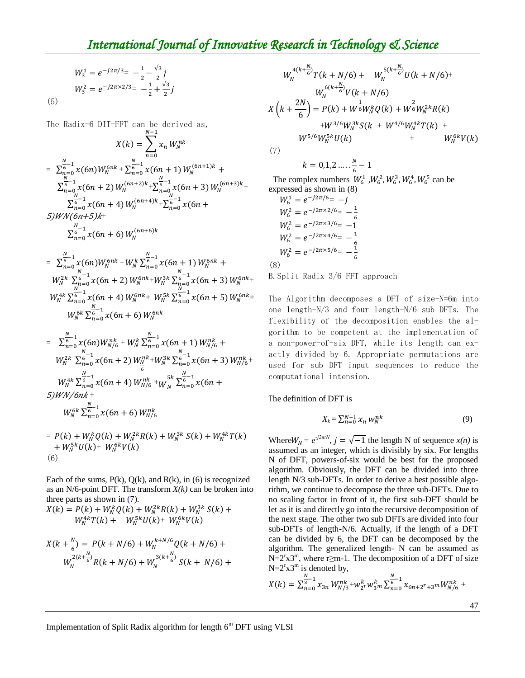### *International Journal of Innovative Research in Technology & Science*

$$
W_3^1 = e^{-j2\pi/3} = -\frac{1}{2} - \frac{\sqrt{3}}{2}j
$$
  

$$
W_3^2 = e^{-j2\pi \times 2/3} = -\frac{1}{2} + \frac{\sqrt{3}}{2}j
$$

(5)

The Radix-6 DIT-FFT can be derived as,

$$
X(k) = \sum_{n=0}^{N-1} x_n W_N^{nk}
$$
\n
$$
= \sum_{n=0}^{N-1} x_n W_N^{nk}
$$
\n
$$
= \sum_{n=0}^{N-1} x(6n) W_N^{6nk} + \sum_{n=0}^{N-1} x(6n+1) W_N^{(6n+1)k} + \sum_{n=0}^{N-1} x(6n+2) W_N^{(6n+2)k} + \sum_{n=0}^{N-1} x(6n+3) W_N^{(6n+3)k} + \sum_{n=0}^{N-1} x(6n+4) W_N^{(6n+4)k} + \sum_{n=0}^{N-1} x(6n+5) W_N^{(6n+5)k} + \sum_{n=0}^{N-1} x(6n+6) W_N^{(6n+6)k}
$$
\n
$$
= \sum_{n=0}^{N-1} x(6n) W_N^{6nk} + W_N^k \sum_{n=0}^{N-1} x(6n+1) W_N^{6nk} + W_N^{2k} \sum_{n=0}^{N-1} x(6n+3) W_N^{6nk} + W_N^{2k} \sum_{n=0}^{N-1} x(6n+5) W_N^{6nk} + W_N^{k} \sum_{n=0}^{N-1} x(6n+6) W_N^{6nk}
$$
\n
$$
W_N^{4k} \sum_{n=0}^{N-1} x(6n+6) W_N^{6nk}
$$
\n
$$
= \sum_{n=0}^{N-1} x(6n) W_{N/6}^{nk} + W_N^k \sum_{n=0}^{N-1} x(6n+1) W_{N/6}^{nk} + W_N^{2k} \sum_{n=0}^{N-1} x(6n+7) W_{N/6}^{6nk} + W_N^{2k} \sum_{n=0}^{N-1} x(6n+8) W_{N/6}^{nk}
$$
\n
$$
W_N^{4k} \sum_{n=0}^{N-1} x(6n+2) W_N^{nk} + W_N^{3k} \sum_{n=0}^{N-1} x(6n+3) W_{N/6}^{nk}
$$
\n
$$
W_N^{4k} \sum_{n=0}^{N-1} x(6n+4) W_{N/6}^{nk} + W_N^{5k} \sum_{n=0}^{N-1} x(6n+3) W_{N/6}^{
$$

 $= P(k) + W_N^k Q(k) + W_N^{2k} R(k) + W_N^{3k} S(k) + W_N^4$ +  $W_N^{5k}U(k)$ +  $W_N^6$ (6)

Each of the sums,  $P(k)$ ,  $Q(k)$ , and  $R(k)$ , in (6) is recognized as an N/6-point DFT. The transform  $X(k)$  can be broken into three parts as shown in (7).

$$
X(k) = P(k) + W_N^k Q(k) + W_N^{2k} R(k) + W_N^{3k} S(k) + W_N^{4k} T(k) + W_N^{5k} U(k) + W_N^{6k} V(k)
$$

$$
X(k + \frac{N}{6}) = P(k + N/6) + W_N^{k+N/6} Q(k + N/6) + W_N^{2(k + \frac{N}{6})} R(k + N/6) + W_N^{3(k + \frac{N}{6})} S(k + N/6) + W_N^{3(k + \frac{N}{6})}
$$

$$
W_N^{4(k+\frac{N}{6})}T(k+N/6) + W_N^{5(k+\frac{N}{6})}U(k+N/6)^+
$$
  
\n
$$
W_N^{6(k+\frac{N}{6})}V(k+N/6)
$$
  
\n
$$
X(k+\frac{2N}{6}) = P(k) + W_0^{\frac{1}{6}}W_N^kQ(k) + W_0^{\frac{2}{6}}W_N^{2k}R(k)
$$
  
\n
$$
+W_0^{3/6}W_N^{3k}S(k + W_0^{4/6}W_N^{4k}T(k) + W_0^{6k}V(k))
$$
  
\n(7)

 $(1)$ 

$$
k=0,1,2\ldots,\frac{N}{6}-1
$$

The complex numbers  $W_6^1$ ,  $W_6^2$ ,  $W_6^3$ ,  $W_6^4$ ,  $W_6^5$  can be expressed as shown in (8)

$$
W_6^1 = e^{-j2\pi/6} = -j
$$
  
\n
$$
W_6^2 = e^{-j2\pi \times 2/6} = -\frac{1}{6}
$$
  
\n
$$
W_6^2 = e^{-j2\pi \times 4/6} = -1
$$
  
\n
$$
W_6^2 = e^{-j2\pi \times 4/6} = -\frac{1}{6}
$$
  
\n
$$
W_6^2 = e^{-j2\pi \times 5/6} = -\frac{1}{6}
$$
  
\n(8)

B.Split Radix 3/6 FFT approach

The Algorithm decomposes a DFT of size-N=6m into one length-N/3 and four length-N/6 sub DFTs. The flexibility of the decomposition enables the algorithm to be competent at the implementation of a non-power-of-six DFT, while its length can exactly divided by 6. Appropriate permutations are used for sub DFT input sequences to reduce the computational intension.

The definition of DFT is

$$
X_k = \sum_{n=0}^{N-1} x_n w_N^{nk} \tag{9}
$$

Where  $W_N = e^{-j2\pi/N}$ ,  $j = \sqrt{-1}$  the length N of sequence  $x(n)$  is assumed as an integer, which is divisibly by six. For lengths N of DFT, powers-of-six would be best for the proposed algorithm. Obviously, the DFT can be divided into three length N/3 sub-DFTs. In order to derive a best possible algorithm, we continue to decompose the three sub-DFTs. Due to no scaling factor in front of it, the first sub-DFT should be let as it is and directly go into the recursive decomposition of the next stage. The other two sub DFTs are divided into four sub-DFTs of length-N/6. Actually, if the length of a DFT can be divided by 6, the DFT can be decomposed by the algorithm. The generalized length- N can be assumed as  $N=2^{r}x3^{m}$ , where r≥m-1. The decomposition of a DFT of size  $N=2^{r}x3^{m}$  is denoted by,

$$
X(k) = \sum_{n=0}^{N} x_{3n} W_{N/3}^{nk} + W_{2}^{k} W_{3}^{k} \sum_{n=0}^{N} x_{6n+2^{r}+3^{m}} W_{N/6}^{nk} +
$$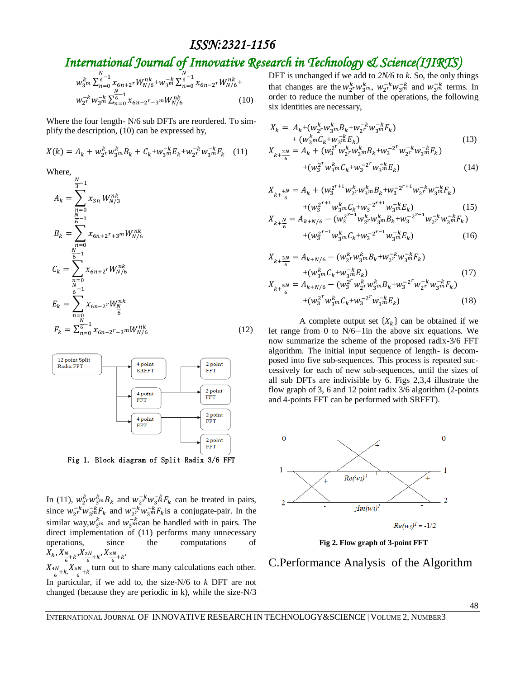## *International Journal of Innovative Research in Technology & Science(IJIRTS)*

$$
w_{3}^{k} \sum_{n=0}^{\infty} \frac{x_{6n+2}^{N} W_{N/6}^{nk}}{x_{6n-2}^{N} W_{N/6}^{nk} + w_{3}^{-k} \sum_{n=0}^{\infty} x_{6n-2}^{N} W_{N/6}^{nk} + w_{2}^{-k} W_{3}^{-k} \sum_{n=0}^{\infty} x_{6n-2}^{N} x_{6n-2}^{N} W_{N/6}^{nk}
$$
\n(10)

Where the four length- N/6 sub DFTs are reordered. To simplify the description, (10) can be expressed by,

$$
X(k) = A_k + w_{2r}^k w_{3m}^k B_k + C_k + w_{3m}^{-k} E_k + w_{2r}^{-k} w_{3m}^{-k} F_k
$$
 (11)

Where,

$$
A_{k} = \sum_{n=0}^{\frac{N}{3}-1} x_{3n} W_{N/3}^{nk}
$$
  
\n
$$
B_{k} = \sum_{n=0}^{\frac{N}{6}-1} x_{6n+2^{r}+3^{m}} W_{N/6}^{nk}
$$
  
\n
$$
C_{k} = \sum_{\substack{n=0 \ \frac{N}{6}-1}}^{\frac{N}{6}-1} x_{6n+2^{r}} W_{N/6}^{nk}
$$
  
\n
$$
E_{k} = \sum_{\substack{n=0 \ \frac{N}{6}-1}}^{\frac{N}{6}-1} x_{6n-2^{r}} W_{\frac{N}{6}}^{nk}
$$
  
\n
$$
F_{k} = \sum_{n=0}^{\frac{N}{6}-1} x_{6n-2^{r}-3^{m}} W_{N/6}^{nk}
$$
\n(12)



Fig 1. Block diagram of Split Radix 3/6 FFT

In (11),  $w_2^k w_3^k m B_k$  and  $w_2^{-k} w_3^{-k} F_k$  can be treated in pairs, since  $w_{2r}^{-k}w_{3m}^{-k}F_k$  and  $w_{2r}^{-k}w_{3m}^{-k}F_k$  is a conjugate-pair. In the similar way,  $w_{3m}^{k}$  and  $w_{3m}^{-k}$  can be handled with in pairs. The direct implementation of (11) performs many unnecessary operations, since the computations of  $X_k, X_{\frac{N}{6}+k}, X_{\frac{2N}{6}+k}, X_{\frac{3N}{6}+k}$  $X_{\frac{4N}{6}+k}$ ,  $X_{\frac{5N}{6}+k}$  turn out to share many calculations each other.

In particular, if we add to, the size-N/6 to *k* DFT are not changed (because they are periodic in k), while the size-N/3 DFT is unchanged if we add to *2N/6* to *k*. So, the only things that changes are the  $w_2^k w_3^k$ ,  $w_2^{-k} w_3^{-k}$  and  $w_3^{-k}$  terms. In order to reduce the number of the operations, the following six identities are necessary,

$$
X_{k} = A_{k} + (w_{2}^{k} w_{3}^{k} m B_{k} + w_{2}^{-k} w_{3}^{-k} F_{k}) + (w_{3}^{k} m C_{k} + w_{3}^{-k} F_{k}) + (w_{3}^{k} m C_{k} + w_{3}^{-k} F_{k})
$$
\n
$$
X_{k + \frac{2N}{6}} = A_{k} + (w_{3}^{2^{r}} w_{2}^{k} w_{3}^{k} m B_{k} + w_{3}^{-2^{r}} w_{2}^{-k} w_{3}^{-k} F_{k}) + (w_{3}^{2^{r}} w_{3}^{k} m C_{k} + w_{3}^{-2^{r}} w_{3}^{-k} F_{k})
$$
\n(14)

$$
X_{k+\frac{4N}{6}} = A_k + (w_3^{2^{r+1}} w_2^k w_3^k m B_k + w_3^{-2^{r+1}} w_2^{-k} w_3^{-m} F_k) + (w_3^{2^{r+1}} w_3^k w C_k + w_3^{-2^{r+1}} w_3^{-k} F_k) + (w_3^{2^{r+1}} w_3^k w C_k + w_3^{-2^{r+1}} w_3^{-k} F_k) + (15)
$$
  

$$
X_{k+\frac{N}{6}} = A_{k+N/6} - (w_3^{2^{r-1}} w_2^k w_3^k m B_k + w_3^{-2^{r-1}} w_2^{-k} w_3^{-k} F_k)
$$

$$
+(w_3^{2^{r-1}}w_3^k {}_mC_k + w_3^{-2^{r-1}}w_3^{-k}E_k) \tag{16}
$$

$$
X_{k+\frac{3N}{6}} = A_{k+N/6} - (w_{2}^{k} w_{3}^{k} m B_{k} + w_{2}^{-k} w_{3}^{-k} F_{k})
$$
  
+ 
$$
(w_{3}^{k} m C_{k} + w_{3}^{-k} E_{k})
$$
  

$$
X_{k+\frac{5N}{6}} = A_{k+N/6} - (w_{3}^{2^{r}} w_{2}^{k} w_{3}^{k} m B_{k} + w_{3}^{-2^{r}} w_{2}^{-k} w_{3}^{-k} F_{k})
$$
  
+ 
$$
(w_{3}^{2^{r}} w_{3}^{k} m C_{k} + w_{3}^{-2^{r}} w_{3}^{-k} E_{k})
$$
  
(18)

A complete output set  $\{X_k\}$  can be obtained if we let range from 0 to  $N/6$ -1 in the above six equations. We now summarize the scheme of the proposed radix-3/6 FFT algorithm. The initial input sequence of length- is decomposed into five sub-sequences. This process is repeated successively for each of new sub-sequences, until the sizes of all sub DFTs are indivisible by 6. Figs 2,3,4 illustrate the flow graph of 3, 6 and 12 point radix 3/6 algorithm (2-points and 4-points FFT can be performed with SRFFT).



**Fig 2. Flow graph of 3-point FFT**

#### C.Performance Analysis of the Algorithm

48

INTERNATIONAL JOURNAL OF INNOVATIVE RESEARCH IN TECHNOLOGY&SCIENCE | VOLUME 2, NUMBER3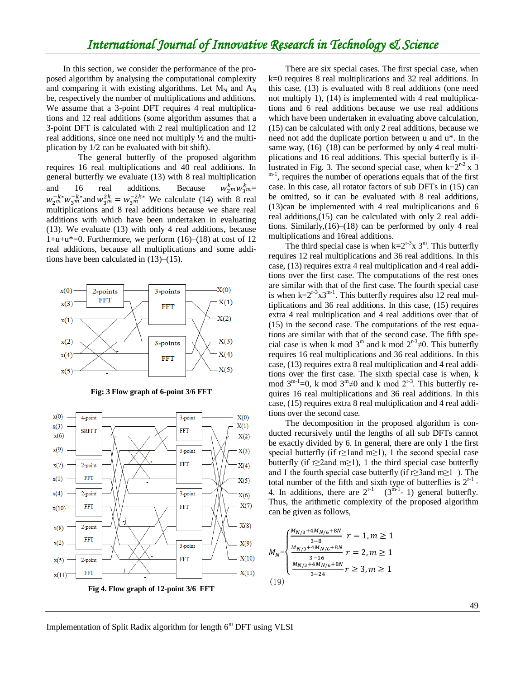### *International Journal of Innovative Research in Technology & Science*

In this section, we consider the performance of the proposed algorithm by analysing the computational complexity and comparing it with existing algorithms. Let  $M_N$  and  $A_N$ be, respectively the number of multiplications and additions. We assume that a 3-point DFT requires 4 real multiplications and 12 real additions (some algorithm assumes that a 3-point DFT is calculated with 2 real multiplication and 12 real additions, since one need not multiply ½ and the multiplication by 1/2 can be evaluated with bit shift).

 The general butterfly of the proposed algorithm requires 16 real multiplications and 40 real additions. In general butterfly we evaluate (13) with 8 real multiplication and 16 real additions. Because  $k_2mW_3^k$ m $=$  $w_{2m}^{-k*}w_{3m}^{-k*}$  and  $w_{3m}^{2k} = w_{3m}^{-2k*}$  We calculate (14) with 8 real multiplications and 8 real additions because we share real additions with which have been undertaken in evaluating (13). We evaluate (13) with only 4 real additions, because  $1+u+u^*=0$ . Furthermore, we perform  $(16)–(18)$  at cost of 12 real additions, because all multiplications and some additions have been calculated in (13)–(15).









There are six special cases. The first special case, when k=0 requires 8 real multiplications and 32 real additions. In this case, (13) is evaluated with 8 real additions (one need not multiply 1), (14) is implemented with 4 real multiplications and 6 real additions because we use real additions which have been undertaken in evaluating above calculation, (15) can be calculated with only 2 real additions, because we need not add the duplicate portion between u and u\*. In the same way,  $(16)$ – $(18)$  can be performed by only 4 real multiplications and 16 real additions. This special butterfly is illustrated in Fig. 3. The second special case, when  $k=2^{r-2}$  x 3  $m<sup>-1</sup>$ , requires the number of operations equals that of the first case. In this case, all rotator factors of sub DFTs in (15) can be omitted, so it can be evaluated with 8 real additions, (13)can be implemented with 4 real multiplications and 6 real additions,(15) can be calculated with only 2 real additions. Similarly,(16)–(18) can be performed by only 4 real multiplications and 16real additions.

The third special case is when  $k=2^{r-3}x$  3<sup>m</sup>. This butterfly requires 12 real multiplications and 36 real additions. In this case, (13) requires extra 4 real multiplication and 4 real additions over the first case. The computations of the rest ones are similar with that of the first case. The fourth special case is when  $k=2^{r-3}x3^{m-1}$ . This butterfly requires also 12 real multiplications and 36 real additions. In this case, (15) requires extra 4 real multiplication and 4 real additions over that of (15) in the second case. The computations of the rest equations are similar with that of the second case. The fifth special case is when k mod  $3^m$  and k mod  $2^{r-3} \neq 0$ . This butterfly requires 16 real multiplications and 36 real additions. In this case, (13) requires extra 8 real multiplication and 4 real additions over the first case. The sixth special case is when, k mod  $3^{m-1}=0$ , k mod  $3^{m}\neq 0$  and k mod  $2^{r-3}$ . This butterfly requires 16 real multiplications and 36 real additions. In this case, (15) requires extra 8 real multiplication and 4 real additions over the second case.

 The decomposition in the proposed algorithm is conducted recursively until the lengths of all sub DFTs cannot be exactly divided by 6. In general, there are only 1 the first special butterfly (if r≥1and m≥1), 1 the second special case butterfly (if r $\geq 2$ and m $\geq 1$ ), 1 the third special case butterfly and 1 the fourth special case butterfly (if r $\geq 3$ and m $\geq 1$ ). The total number of the fifth and sixth type of butterflies is  $2^{r-1}$  -4. In additions, there are  $2^{r-1}$  (3<sup>m-1</sup>-1) general butterfly. Thus, the arithmetic complexity of the proposed algorithm can be given as follows,

$$
M_N = \begin{cases} \frac{M_{N/3} + 4M_{N/6} + 8N}{3 - 8} & r = 1, m \ge 1\\ \frac{M_{N/3} + 4M_{N/6} + 8N}{3 - 16} & r = 2, m \ge 1\\ \frac{M_{N/3} + 4M_{N/6} + 8N}{3 - 24} & r \ge 3, m \ge 1\\ (19) \end{cases}
$$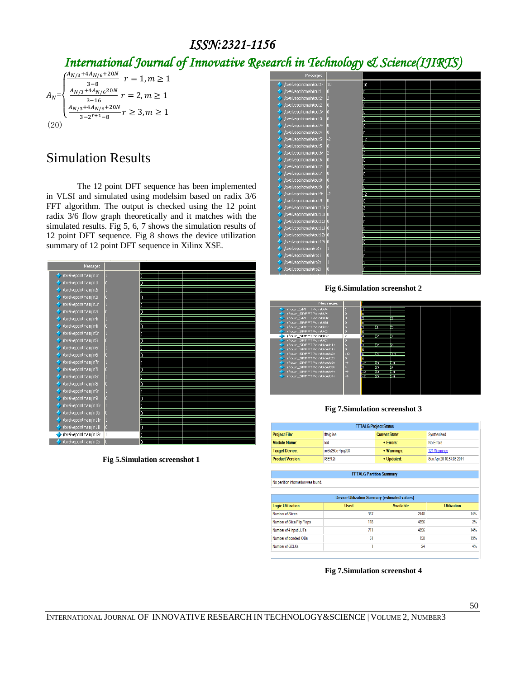### *ISSN:2321-1156*

## *International Journal of Innovative Research in Technology & Science(IJIRTS)*

$$
A_N = \begin{cases} \frac{A_{N/3} + 4A_{N/6} + 20N}{3 - 8} & r = 1, m \ge 1\\ \frac{A_{N/3} + 4A_{N/6} + 20N}{3 - 16} & r = 2, m \ge 1\\ \frac{A_{N/3} + 4A_{N/6} + 20N}{3 - 2r + 1 - 8} & r \ge 3, m \ge 1\\ (20) & \end{cases}
$$

## Simulation Results

 The 12 point DFT sequence has been implemented in VLSI and simulated using modelsim based on radix 3/6 FFT algorithm. The output is checked using the 12 point radix 3/6 flow graph theoretically and it matches with the simulated results. Fig 5, 6, 7 shows the simulation results of 12 point DFT sequence. Fig 8 shows the device utilization summary of 12 point DFT sequence in Xilinx XSE.



**Fig 5.Simulation screenshot 1**

| Messages                                 |                |    |  |  |
|------------------------------------------|----------------|----|--|--|
| /twelvepointmain/out1r                   | 10             | 10 |  |  |
| /twelvepointmain/out1i                   | o              | o  |  |  |
| twelvepointmain/out2r/                   | 2              | 2  |  |  |
| /twelvepointmain/out2i                   | b              | o  |  |  |
| /twelvepointmain/out3r                   | o              | In |  |  |
| /twelvepointmain/out3i                   | o              | IO |  |  |
| /twelvepointmain/out4r                   | o              | In |  |  |
| /twelvepointmain/out4i                   | lo             | o  |  |  |
| /twelvepointmain/out5r                   | l-2            | F2 |  |  |
| /twelvepointmain/out5i                   | o              | n  |  |  |
| /twelvepointmain/out6r                   | 2              | 2  |  |  |
| /twelvepointmain/out6i                   | c              | o  |  |  |
| /twelvepointmain/out7r                   | o              | Io |  |  |
| /twelvepointmain/out7i                   | О              | Ю  |  |  |
| /twelvepointmain/out8r                   | o              | o  |  |  |
| /twelvepointmain/out8i                   | о              | о  |  |  |
| /twelvepointmain/out9r                   | $\overline{2}$ | 2  |  |  |
| /twelvepointmain/out9i                   | o              | O  |  |  |
| /twelvepointmain/out10r 2                |                | İ2 |  |  |
| /twelvepointmain/out10i 0                |                | Iū |  |  |
| /twelvepointmain/out11r <mark>1</mark> 0 |                | lo |  |  |
| /twelvepointmain/out11i 0                |                | lO |  |  |
| /twelvepointmain/out12r <mark>1</mark> 0 |                | IO |  |  |
| /twelvepointmain/out12i                  | o              | In |  |  |
| /twelvepointmain/ro1r                    |                |    |  |  |
| /twelvepointmain/ro1i                    |                | o  |  |  |
| /twelvepointmain/ro2r                    |                |    |  |  |
|                                          |                |    |  |  |
| twelvepointmain/ro2i                     | r              | o  |  |  |

**Fig 6.Simulation screenshot 2**

| Messages               |      |   |    |     |  |
|------------------------|------|---|----|-----|--|
| /four_SRFFTPoint/Ar    |      |   |    |     |  |
| /four_SRFFTPoint/Ai    |      |   |    |     |  |
| /four_SRFFTPoint/Br    | в    |   |    | ïп, |  |
| /four SRFFTPoint/Bi    |      |   |    |     |  |
| /four SRFFTPoint/Cr    |      |   |    | ĵs. |  |
| /four SRFFTPoint/Ci    | o    |   |    |     |  |
| /four SRFFTPoint/Dr    | 7    | м | Ξ  | ÷   |  |
| /four SRFFTPoint/Di    | o    | п |    |     |  |
| /four_SRFFTPoint/out1r | 6    |   | Ξ  | G   |  |
| /four_SRFFTPoint/out1i | lo.  |   |    |     |  |
| /four_SRFFTPoint/out2r | 10   |   | Ï4 | hσ  |  |
| /four_SRFFTPoint/out2i | lo.  |   |    |     |  |
| /four SRFFTPoint/out3r | $-4$ | æ | íπ | 54  |  |
| /four SRFFTPoint/out3i | Ŀ.   |   | 'n | 14  |  |
| /four SRFFTPoint/out4r | $-4$ | छ | m  | 64  |  |
| /four SRFFTPoint/out4i | $-4$ | œ | п  | -4  |  |
|                        |      |   |    |     |  |
|                        |      |   |    |     |  |
|                        |      |   |    |     |  |
|                        |      |   |    |     |  |

#### **Fig 7.Simulation screenshot 3**

| <b>FFTALG Project Status</b>                         |                 |                       |                          |  |  |  |  |
|------------------------------------------------------|-----------------|-----------------------|--------------------------|--|--|--|--|
| <b>Project File:</b>                                 | fftalg.ise      | <b>Current State:</b> | Synthesized              |  |  |  |  |
| <b>Module Name:</b>                                  | Icd             | $•$ Errors:           | No Errors                |  |  |  |  |
| <b>Target Device:</b>                                | xc3s250e-4pq208 | · Warnings:           | 121 Warnings             |  |  |  |  |
| <b>Product Version:</b>                              | ISE 9.2i        | • Updated:            | Sun Apr 20 10:57:08 2014 |  |  |  |  |
|                                                      |                 |                       |                          |  |  |  |  |
| <b>FFTALG Partition Summary</b>                      |                 |                       |                          |  |  |  |  |
| No partition information was found.                  |                 |                       |                          |  |  |  |  |
|                                                      |                 |                       |                          |  |  |  |  |
| <b>Device Utilization Summary (estimated values)</b> |                 |                       |                          |  |  |  |  |
| <b>Logic Utilization</b>                             | <b>Used</b>     | <b>Available</b>      | <b>Utilization</b>       |  |  |  |  |
| Number of Slices                                     | 367             | 2448                  | 14%                      |  |  |  |  |
| Number of Slice Flip Flops                           | 118             | 4896                  | 2%                       |  |  |  |  |
| Number of 4 input LUTs                               | 711             | 4896                  | 14%                      |  |  |  |  |
| Number of bonded IOBs                                | 31              | 158                   | 19%                      |  |  |  |  |
| Number of GCI Ks                                     | 1               | 24                    | 4%                       |  |  |  |  |

**Fig 7.Simulation screenshot 4**